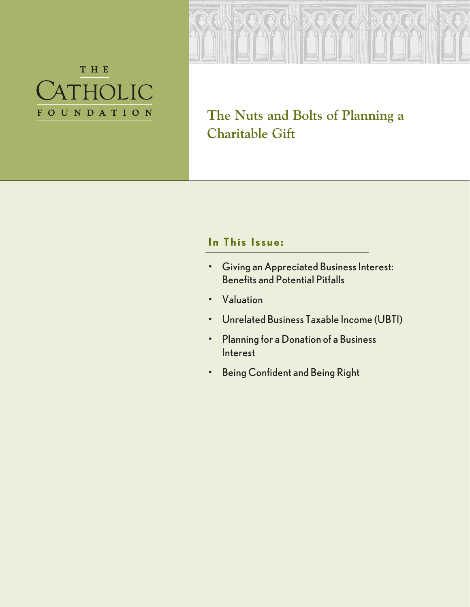



**The Nuts and Bolts of Planning a Charitable Gift**

## **In This Issue:**

- Giving an Appreciated Business Interest: Benefits and Potential Pitfalls
- Valuation
- Unrelated Business Taxable Income (UBTI)
- Planning for a Donation of a Business Interest
- Being Confident and Being Right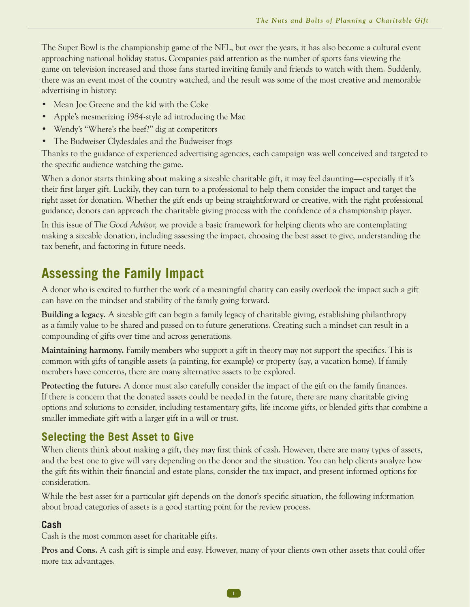The Super Bowl is the championship game of the NFL, but over the years, it has also become a cultural event approaching national holiday status. Companies paid attention as the number of sports fans viewing the game on television increased and those fans started inviting family and friends to watch with them. Suddenly, there was an event most of the country watched, and the result was some of the most creative and memorable advertising in history:

- Mean Joe Greene and the kid with the Coke
- Apple's mesmerizing *1984*-style ad introducing the Mac
- Wendy's "Where's the beef?" dig at competitors
- The Budweiser Clydesdales and the Budweiser frogs

Thanks to the guidance of experienced advertising agencies, each campaign was well conceived and targeted to the specific audience watching the game.

When a donor starts thinking about making a sizeable charitable gift, it may feel daunting—especially if it's their first larger gift. Luckily, they can turn to a professional to help them consider the impact and target the right asset for donation. Whether the gift ends up being straightforward or creative, with the right professional guidance, donors can approach the charitable giving process with the confidence of a championship player.

In this issue of *The Good Advisor,* we provide a basic framework for helping clients who are contemplating making a sizeable donation, including assessing the impact, choosing the best asset to give, understanding the tax benefit, and factoring in future needs.

# **Assessing the Family Impact**

A donor who is excited to further the work of a meaningful charity can easily overlook the impact such a gift can have on the mindset and stability of the family going forward.

**Building a legacy.** A sizeable gift can begin a family legacy of charitable giving, establishing philanthropy as a family value to be shared and passed on to future generations. Creating such a mindset can result in a compounding of gifts over time and across generations.

**Maintaining harmony.** Family members who support a gift in theory may not support the specifics. This is common with gifts of tangible assets (a painting, for example) or property (say, a vacation home). If family members have concerns, there are many alternative assets to be explored.

**Protecting the future.** A donor must also carefully consider the impact of the gift on the family finances. If there is concern that the donated assets could be needed in the future, there are many charitable giving options and solutions to consider, including testamentary gifts, life income gifts, or blended gifts that combine a smaller immediate gift with a larger gift in a will or trust.

## **Selecting the Best Asset to Give**

When clients think about making a gift, they may first think of cash. However, there are many types of assets, and the best one to give will vary depending on the donor and the situation. You can help clients analyze how the gift fits within their financial and estate plans, consider the tax impact, and present informed options for consideration.

While the best asset for a particular gift depends on the donor's specific situation, the following information about broad categories of assets is a good starting point for the review process.

### **Cash**

Cash is the most common asset for charitable gifts.

**Pros and Cons.** A cash gift is simple and easy. However, many of your clients own other assets that could offer more tax advantages.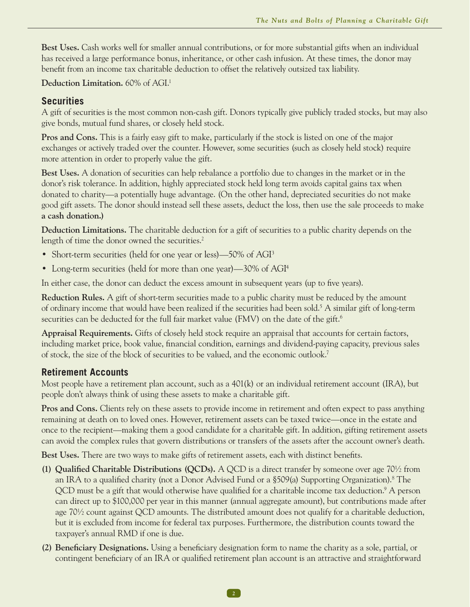**Best Uses.** Cash works well for smaller annual contributions, or for more substantial gifts when an individual has received a large performance bonus, inheritance, or other cash infusion. At these times, the donor may benefit from an income tax charitable deduction to offset the relatively outsized tax liability.

#### Deduction Limitation. 60% of AGI.<sup>1</sup>

#### **Securities**

A gift of securities is the most common non-cash gift. Donors typically give publicly traded stocks, but may also give bonds, mutual fund shares, or closely held stock.

**Pros and Cons.** This is a fairly easy gift to make, particularly if the stock is listed on one of the major exchanges or actively traded over the counter. However, some securities (such as closely held stock) require more attention in order to properly value the gift.

**Best Uses.** A donation of securities can help rebalance a portfolio due to changes in the market or in the donor's risk tolerance. In addition, highly appreciated stock held long term avoids capital gains tax when donated to charity—a potentially huge advantage. (On the other hand, depreciated securities do not make good gift assets. The donor should instead sell these assets, deduct the loss, then use the sale proceeds to make **a cash donation.)** 

**Deduction Limitations.** The charitable deduction for a gift of securities to a public charity depends on the length of time the donor owned the securities.<sup>2</sup>

- Short-term securities (held for one year or less)—50% of AGI<sup>3</sup>
- Long-term securities (held for more than one year)—30% of AGI<sup>4</sup>

In either case, the donor can deduct the excess amount in subsequent years (up to five years).

**Reduction Rules.** A gift of short-term securities made to a public charity must be reduced by the amount of ordinary income that would have been realized if the securities had been sold.5 A similar gift of long-term securities can be deducted for the full fair market value (FMV) on the date of the gift.<sup>6</sup>

**Appraisal Requirements.** Gifts of closely held stock require an appraisal that accounts for certain factors, including market price, book value, financial condition, earnings and dividend-paying capacity, previous sales of stock, the size of the block of securities to be valued, and the economic outlook.7

#### **Retirement Accounts**

Most people have a retirement plan account, such as a 401(k) or an individual retirement account (IRA), but people don't always think of using these assets to make a charitable gift.

Pros and Cons. Clients rely on these assets to provide income in retirement and often expect to pass anything remaining at death on to loved ones. However, retirement assets can be taxed twice—once in the estate and once to the recipient—making them a good candidate for a charitable gift. In addition, gifting retirement assets can avoid the complex rules that govern distributions or transfers of the assets after the account owner's death.

**Best Uses.** There are two ways to make gifts of retirement assets, each with distinct benefits.

- **(1) Qualified Charitable Distributions (QCDs).** A QCD is a direct transfer by someone over age 70½ from an IRA to a qualified charity (not a Donor Advised Fund or a §509(a) Supporting Organization).8 The QCD must be a gift that would otherwise have qualified for a charitable income tax deduction.<sup>9</sup> A person can direct up to \$100,000 per year in this manner (annual aggregate amount), but contributions made after age 70½ count against QCD amounts. The distributed amount does not qualify for a charitable deduction, but it is excluded from income for federal tax purposes. Furthermore, the distribution counts toward the taxpayer's annual RMD if one is due.
- **(2) Beneficiary Designations.** Using a beneficiary designation form to name the charity as a sole, partial, or contingent beneficiary of an IRA or qualified retirement plan account is an attractive and straightforward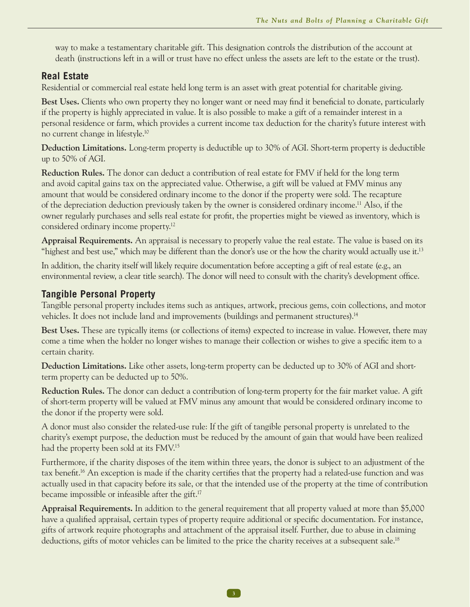way to make a testamentary charitable gift. This designation controls the distribution of the account at death (instructions left in a will or trust have no effect unless the assets are left to the estate or the trust).

#### **Real Estate**

Residential or commercial real estate held long term is an asset with great potential for charitable giving.

**Best Uses.** Clients who own property they no longer want or need may find it beneficial to donate, particularly if the property is highly appreciated in value. It is also possible to make a gift of a remainder interest in a personal residence or farm, which provides a current income tax deduction for the charity's future interest with no current change in lifestyle.10

**Deduction Limitations.** Long-term property is deductible up to 30% of AGI. Short-term property is deductible up to 50% of AGI.

**Reduction Rules.** The donor can deduct a contribution of real estate for FMV if held for the long term and avoid capital gains tax on the appreciated value. Otherwise, a gift will be valued at FMV minus any amount that would be considered ordinary income to the donor if the property were sold. The recapture of the depreciation deduction previously taken by the owner is considered ordinary income.11 Also, if the owner regularly purchases and sells real estate for profit, the properties might be viewed as inventory, which is considered ordinary income property.12

**Appraisal Requirements.** An appraisal is necessary to properly value the real estate. The value is based on its "highest and best use," which may be different than the donor's use or the how the charity would actually use it.<sup>13</sup>

In addition, the charity itself will likely require documentation before accepting a gift of real estate (e.g., an environmental review, a clear title search). The donor will need to consult with the charity's development office.

#### **Tangible Personal Property**

Tangible personal property includes items such as antiques, artwork, precious gems, coin collections, and motor vehicles. It does not include land and improvements (buildings and permanent structures).<sup>14</sup>

**Best Uses.** These are typically items (or collections of items) expected to increase in value. However, there may come a time when the holder no longer wishes to manage their collection or wishes to give a specific item to a certain charity.

**Deduction Limitations.** Like other assets, long-term property can be deducted up to 30% of AGI and shortterm property can be deducted up to 50%.

**Reduction Rules.** The donor can deduct a contribution of long-term property for the fair market value. A gift of short-term property will be valued at FMV minus any amount that would be considered ordinary income to the donor if the property were sold.

A donor must also consider the related-use rule: If the gift of tangible personal property is unrelated to the charity's exempt purpose, the deduction must be reduced by the amount of gain that would have been realized had the property been sold at its FMV.15

Furthermore, if the charity disposes of the item within three years, the donor is subject to an adjustment of the tax benefit.16 An exception is made if the charity certifies that the property had a related-use function and was actually used in that capacity before its sale, or that the intended use of the property at the time of contribution became impossible or infeasible after the gift.17

**Appraisal Requirements.** In addition to the general requirement that all property valued at more than \$5,000 have a qualified appraisal, certain types of property require additional or specific documentation. For instance, gifts of artwork require photographs and attachment of the appraisal itself. Further, due to abuse in claiming deductions, gifts of motor vehicles can be limited to the price the charity receives at a subsequent sale.<sup>18</sup>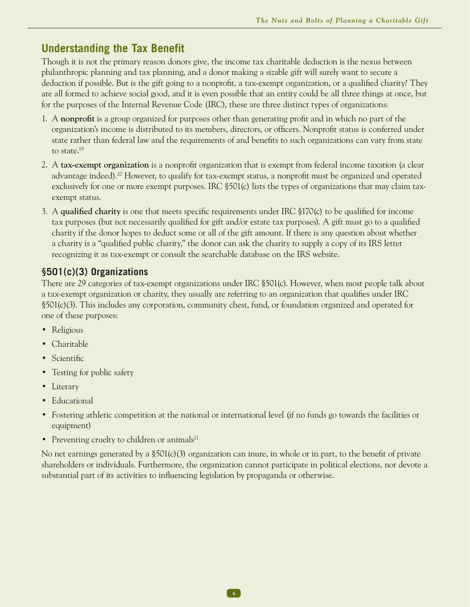### **Understanding the Tax Benefit**

Though it is not the primary reason donors give, the income tax charitable deduction is the nexus between philanthropic planning and tax planning, and a donor making a sizable gift will surely want to secure a deduction if possible. But is the gift going to a nonprofit, a tax-exempt organization, or a qualified charity? They are all formed to achieve social good, and it is even possible that an entity could be all three things at once, but for the purposes of the Internal Revenue Code (IRC), these are three distinct types of organizations:

- 1. A **nonprofit** is a group organized for purposes other than generating profit and in which no part of the organization's income is distributed to its members, directors, or officers. Nonprofit status is conferred under state rather than federal law and the requirements of and benefits to such organizations can vary from state to state.19
- 2. A **tax-exempt organization** is a nonprofit organization that is exempt from federal income taxation (a clear advantage indeed).20 However, to qualify for tax-exempt status, a nonprofit must be organized and operated exclusively for one or more exempt purposes. IRC  $\S501(c)$  lists the types of organizations that may claim taxexempt status.
- 3. A **qualified charity** is one that meets specific requirements under IRC §170(c) to be qualified for income tax purposes (but not necessarily qualified for gift and/or estate tax purposes). A gift must go to a qualified charity if the donor hopes to deduct some or all of the gift amount. If there is any question about whether a charity is a "qualified public charity," the donor can ask the charity to supply a copy of its IRS letter recognizing it as tax-exempt or consult the searchable database on the IRS website.

### **§501(c)(3) Organizations**

There are 29 categories of tax-exempt organizations under IRC §501(c). However, when most people talk about a tax-exempt organization or charity, they usually are referring to an organization that qualifies under IRC §501(c)(3). This includes any corporation, community chest, fund, or foundation organized and operated for one of these purposes:

- Religious
- Charitable
- Scientific
- Testing for public safety
- Literary
- Educational
- Fostering athletic competition at the national or international level (if no funds go towards the facilities or equipment)
- Preventing cruelty to children or animals<sup>21</sup>

No net earnings generated by a  $$501(c)(3)$  organization can inure, in whole or in part, to the benefit of private shareholders or individuals. Furthermore, the organization cannot participate in political elections, nor devote a substantial part of its activities to influencing legislation by propaganda or otherwise.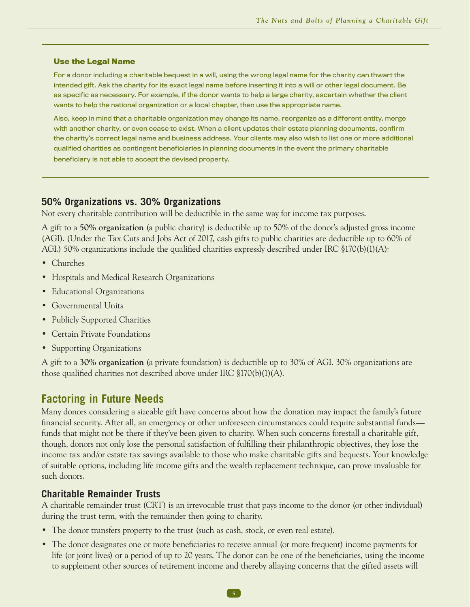#### **Use the Legal Name**

For a donor including a charitable bequest in a will, using the wrong legal name for the charity can thwart the intended gift. Ask the charity for its exact legal name before inserting it into a will or other legal document. Be as specific as necessary. For example, if the donor wants to help a large charity, ascertain whether the client wants to help the national organization or a local chapter, then use the appropriate name.

Also, keep in mind that a charitable organization may change its name, reorganize as a different entity, merge with another charity, or even cease to exist. When a client updates their estate planning documents, confirm the charity's correct legal name and business address. Your clients may also wish to list one or more additional qualified charities as contingent beneficiaries in planning documents in the event the primary charitable beneficiary is not able to accept the devised property.

#### **50% Organizations vs. 30% Organizations**

Not every charitable contribution will be deductible in the same way for income tax purposes.

A gift to a **50% organization** (a public charity) is deductible up to 50% of the donor's adjusted gross income (AGI). (Under the Tax Cuts and Jobs Act of 2017, cash gifts to public charities are deductible up to 60% of AGI.) 50% organizations include the qualified charities expressly described under IRC §170(b)(1)(A):

- Churches
- Hospitals and Medical Research Organizations
- Educational Organizations
- Governmental Units
- Publicly Supported Charities
- Certain Private Foundations
- Supporting Organizations

A gift to a **30% organization** (a private foundation) is deductible up to 30% of AGI. 30% organizations are those qualified charities not described above under IRC §170(b)(1)(A).

#### **Factoring in Future Needs**

Many donors considering a sizeable gift have concerns about how the donation may impact the family's future financial security. After all, an emergency or other unforeseen circumstances could require substantial funds funds that might not be there if they've been given to charity. When such concerns forestall a charitable gift, though, donors not only lose the personal satisfaction of fulfilling their philanthropic objectives, they lose the income tax and/or estate tax savings available to those who make charitable gifts and bequests. Your knowledge of suitable options, including life income gifts and the wealth replacement technique, can prove invaluable for such donors.

#### **Charitable Remainder Trusts**

A charitable remainder trust (CRT) is an irrevocable trust that pays income to the donor (or other individual) during the trust term, with the remainder then going to charity.

- The donor transfers property to the trust (such as cash, stock, or even real estate).
- The donor designates one or more beneficiaries to receive annual (or more frequent) income payments for life (or joint lives) or a period of up to 20 years. The donor can be one of the beneficiaries, using the income to supplement other sources of retirement income and thereby allaying concerns that the gifted assets will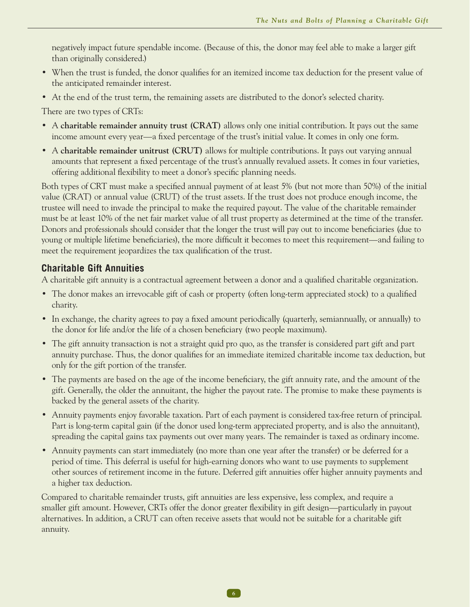negatively impact future spendable income. (Because of this, the donor may feel able to make a larger gift than originally considered.)

- When the trust is funded, the donor qualifies for an itemized income tax deduction for the present value of the anticipated remainder interest.
- At the end of the trust term, the remaining assets are distributed to the donor's selected charity.

There are two types of CRTs:

- A **charitable remainder annuity trust (CRAT)** allows only one initial contribution. It pays out the same income amount every year—a fixed percentage of the trust's initial value. It comes in only one form.
- A **charitable remainder unitrust (CRUT)** allows for multiple contributions. It pays out varying annual amounts that represent a fixed percentage of the trust's annually revalued assets. It comes in four varieties, offering additional flexibility to meet a donor's specific planning needs.

Both types of CRT must make a specified annual payment of at least 5% (but not more than 50%) of the initial value (CRAT) or annual value (CRUT) of the trust assets. If the trust does not produce enough income, the trustee will need to invade the principal to make the required payout. The value of the charitable remainder must be at least 10% of the net fair market value of all trust property as determined at the time of the transfer. Donors and professionals should consider that the longer the trust will pay out to income beneficiaries (due to young or multiple lifetime beneficiaries), the more difficult it becomes to meet this requirement—and failing to meet the requirement jeopardizes the tax qualification of the trust.

#### **Charitable Gift Annuities**

A charitable gift annuity is a contractual agreement between a donor and a qualified charitable organization.

- The donor makes an irrevocable gift of cash or property (often long-term appreciated stock) to a qualified charity.
- In exchange, the charity agrees to pay a fixed amount periodically (quarterly, semiannually, or annually) to the donor for life and/or the life of a chosen beneficiary (two people maximum).
- The gift annuity transaction is not a straight quid pro quo, as the transfer is considered part gift and part annuity purchase. Thus, the donor qualifies for an immediate itemized charitable income tax deduction, but only for the gift portion of the transfer.
- The payments are based on the age of the income beneficiary, the gift annuity rate, and the amount of the gift. Generally, the older the annuitant, the higher the payout rate. The promise to make these payments is backed by the general assets of the charity.
- Annuity payments enjoy favorable taxation. Part of each payment is considered tax-free return of principal. Part is long-term capital gain (if the donor used long-term appreciated property, and is also the annuitant), spreading the capital gains tax payments out over many years. The remainder is taxed as ordinary income.
- Annuity payments can start immediately (no more than one year after the transfer) or be deferred for a period of time. This deferral is useful for high-earning donors who want to use payments to supplement other sources of retirement income in the future. Deferred gift annuities offer higher annuity payments and a higher tax deduction.

Compared to charitable remainder trusts, gift annuities are less expensive, less complex, and require a smaller gift amount. However, CRTs offer the donor greater flexibility in gift design—particularly in payout alternatives. In addition, a CRUT can often receive assets that would not be suitable for a charitable gift annuity.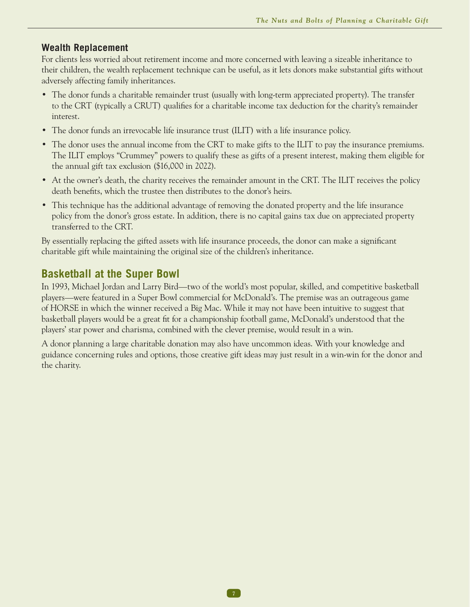#### **Wealth Replacement**

For clients less worried about retirement income and more concerned with leaving a sizeable inheritance to their children, the wealth replacement technique can be useful, as it lets donors make substantial gifts without adversely affecting family inheritances.

- The donor funds a charitable remainder trust (usually with long-term appreciated property). The transfer to the CRT (typically a CRUT) qualifies for a charitable income tax deduction for the charity's remainder interest.
- The donor funds an irrevocable life insurance trust (ILIT) with a life insurance policy.
- The donor uses the annual income from the CRT to make gifts to the ILIT to pay the insurance premiums. The ILIT employs "Crummey" powers to qualify these as gifts of a present interest, making them eligible for the annual gift tax exclusion (\$16,000 in 2022).
- At the owner's death, the charity receives the remainder amount in the CRT. The ILIT receives the policy death benefits, which the trustee then distributes to the donor's heirs.
- This technique has the additional advantage of removing the donated property and the life insurance policy from the donor's gross estate. In addition, there is no capital gains tax due on appreciated property transferred to the CRT.

By essentially replacing the gifted assets with life insurance proceeds, the donor can make a significant charitable gift while maintaining the original size of the children's inheritance.

### **Basketball at the Super Bowl**

In 1993, Michael Jordan and Larry Bird—two of the world's most popular, skilled, and competitive basketball players—were featured in a Super Bowl commercial for McDonald's. The premise was an outrageous game of HORSE in which the winner received a Big Mac. While it may not have been intuitive to suggest that basketball players would be a great fit for a championship football game, McDonald's understood that the players' star power and charisma, combined with the clever premise, would result in a win.

A donor planning a large charitable donation may also have uncommon ideas. With your knowledge and guidance concerning rules and options, those creative gift ideas may just result in a win-win for the donor and the charity.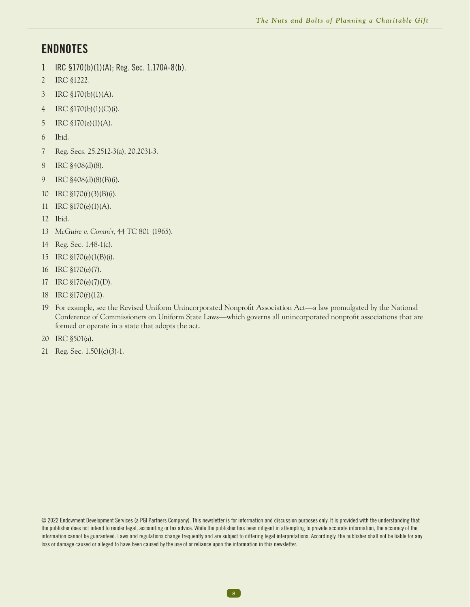### **ENDNOTES**

- IRC §170(b)(1)(A); Reg. Sec. 1.170A-8(b).
- IRC §1222.
- IRC §170(b)(1)(A).
- IRC §170(b)(1)(C)(i).
- IRC §170(e)(1)(A).
- Ibid.
- Reg. Secs. 25.2512-3(a), 20.2031-3.
- IRC §408(d)(8).
- IRC §408(d)(8)(B)(i).
- 10 IRC  $$170(f)(3)(B)(i)$ .
- IRC §170(e)(1)(A).
- Ibid.
- *McGuire v. Comm'r*, 44 TC 801 (1965).
- Reg. Sec. 1.48-1(c).
- IRC §170(e)(1(B)(i).
- IRC §170(e)(7).
- IRC §170(e)(7)(D).
- IRC §170(f)(12).
- For example, see the Revised Uniform Unincorporated Nonprofit Association Act—a law promulgated by the National Conference of Commissioners on Uniform State Laws—which governs all unincorporated nonprofit associations that are formed or operate in a state that adopts the act.
- IRC §501(a).
- Reg. Sec. 1.501(c)(3)-1.

© 2022 Endowment Development Services (a PGI Partners Company). This newsletter is for information and discussion purposes only. It is provided with the understanding that the publisher does not intend to render legal, accounting or tax advice. While the publisher has been diligent in attempting to provide accurate information, the accuracy of the information cannot be guaranteed. Laws and regulations change frequently and are subject to differing legal interpretations. Accordingly, the publisher shall not be liable for any loss or damage caused or alleged to have been caused by the use of or reliance upon the information in this newsletter.